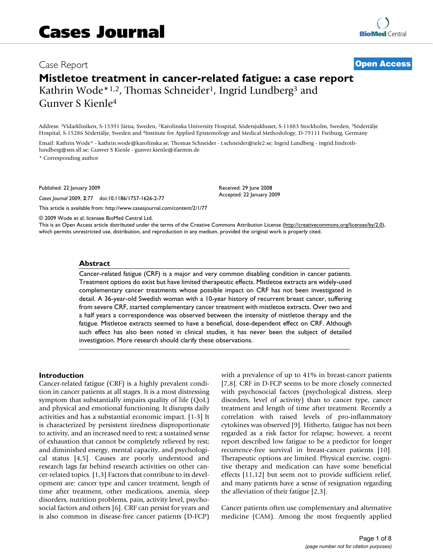## Case Report **[Open Access](http://www.biomedcentral.com/info/about/charter/)**

# **Mistletoe treatment in cancer-related fatigue: a case report** Kathrin Wode\*<sup>1,2</sup>, Thomas Schneider<sup>1</sup>, Ingrid Lundberg<sup>3</sup> and Gunver S Kienle4

Address: 1Vidarkliniken, S-15391 Järna, Sweden, 2Karolinska University Hospital, Södersjukhuset, S-11883 Stockholm, Sweden, 3Södertälje Hospital, S-15286 Södertälje, Sweden and 4Institute for Applied Epistemology and Medical Methodology, D-79111 Freiburg, Germany

Email: Kathrin Wode\* - kathrin.wode@karolinska.se; Thomas Schneider - t.schneider@tele2.se; Ingrid Lundberg - ingrid.lindrothlundberg@sns.sll.se; Gunver S Kienle - gunver.kienle@ifaemm.de

\* Corresponding author

Published: 22 January 2009

*Cases Journal* 2009, **2**:77 doi:10.1186/1757-1626-2-77

[This article is available from: http://www.casesjournal.com/content/2/1/77](http://www.casesjournal.com/content/2/1/77)

© 2009 Wode et al; licensee BioMed Central Ltd.

This is an Open Access article distributed under the terms of the Creative Commons Attribution License [\(http://creativecommons.org/licenses/by/2.0\)](http://creativecommons.org/licenses/by/2.0), which permits unrestricted use, distribution, and reproduction in any medium, provided the original work is properly cited.

Received: 29 June 2008 Accepted: 22 January 2009

## **Abstract**

Cancer-related fatigue (CRF) is a major and very common disabling condition in cancer patients. Treatment options do exist but have limited therapeutic effects. Mistletoe extracts are widely-used complementary cancer treatments whose possible impact on CRF has not been investigated in detail. A 36-year-old Swedish woman with a 10-year history of recurrent breast cancer, suffering from severe CRF, started complementary cancer treatment with mistletoe extracts. Over two and a half years a correspondence was observed between the intensity of mistletoe therapy and the fatigue. Mistletoe extracts seemed to have a beneficial, dose-dependent effect on CRF. Although such effect has also been noted in clinical studies, it has never been the subject of detailed investigation. More research should clarify these observations.

## **Introduction**

Cancer-related fatigue (CRF) is a highly prevalent condition in cancer patients at all stages. It is a most distressing symptom that substantially impairs quality of life (QoL) and physical and emotional functioning. It disrupts daily activities and has a substantial economic impact. [1-3] It is characterized by persistent tiredness disproportionate to activity, and an increased need to rest; a sustained sense of exhaustion that cannot be completely relieved by rest; and diminished energy, mental capacity, and psychological status [4,5]. Causes are poorly understood and research lags far behind research activities on other cancer-related topics. [1,3] Factors that contribute to its development are: cancer type and cancer treatment, length of time after treatment, other medications, anemia, sleep disorders, nutrition problems, pain, activity level, psychosocial factors and others [6]. CRF can persist for years and is also common in disease-free cancer patients (D-FCP) with a prevalence of up to 41% in breast-cancer patients [7,8]. CRF in D-FCP seems to be more closely connected with psychosocial factors (psychological distress, sleep disorders, level of activity) than to cancer type, cancer treatment and length of time after treatment. Recently a correlation with raised levels of pro-inflammatory cytokines was observed [9]. Hitherto, fatigue has not been regarded as a risk factor for relapse; however, a recent report described low fatigue to be a predictor for longer recurrence-free survival in breast-cancer patients [10]. Therapeutic options are limited. Physical exercise, cognitive therapy and medication can have some beneficial effects [11,12] but seem not to provide sufficient relief, and many patients have a sense of resignation regarding the alleviation of their fatigue [2,3].

Cancer patients often use complementary and alternative medicine (CAM). Among the most frequently applied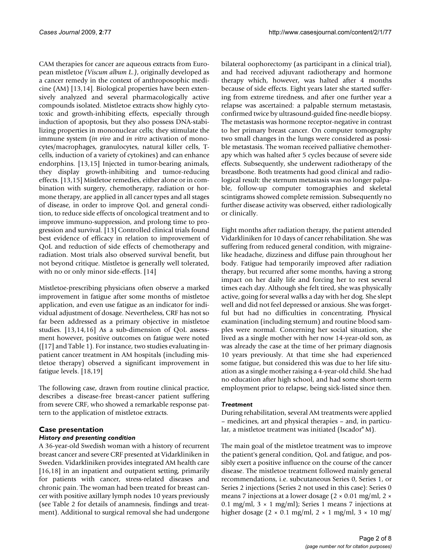CAM therapies for cancer are aqueous extracts from European mistletoe *(Viscum album L.)*, originally developed as a cancer remedy in the context of anthroposophic medicine (AM) [13,14]. Biological properties have been extensively analyzed and several pharmacologically active compounds isolated. Mistletoe extracts show highly cytotoxic and growth-inhibiting effects, especially through induction of apoptosis, but they also possess DNA-stabilizing properties in mononuclear cells; they stimulate the immune system (*in vivo* and *in vitro* activation of monocytes/macrophages, granulocytes, natural killer cells, Tcells, induction of a variety of cytokines) and can enhance endorphins. [13,15] Injected in tumor-bearing animals, they display growth-inhibiting and tumor-reducing effects. [13,15] Mistletoe remedies, either alone or in combination with surgery, chemotherapy, radiation or hormone therapy, are applied in all cancer types and all stages of disease, in order to improve QoL and general condition, to reduce side effects of oncological treatment and to improve immuno-suppression, and prolong time to progression and survival. [13] Controlled clinical trials found best evidence of efficacy in relation to improvement of QoL and reduction of side effects of chemotherapy and radiation. Most trials also observed survival benefit, but not beyond critique. Mistletoe is generally well tolerated, with no or only minor side-effects. [14]

Mistletoe-prescribing physicians often observe a marked improvement in fatigue after some months of mistletoe application, and even use fatigue as an indicator for individual adjustment of dosage. Nevertheless, CRF has not so far been addressed as a primary objective in mistletoe studies. [13,14,16] As a sub-dimension of QoL assessment however, positive outcomes on fatigue were noted ([17] and Table 1). For instance, two studies evaluating inpatient cancer treatment in AM hospitals (including mistletoe therapy) observed a significant improvement in fatigue levels. [18,19]

The following case, drawn from routine clinical practice, describes a disease-free breast-cancer patient suffering from severe CRF, who showed a remarkable response pattern to the application of mistletoe extracts.

## **Case presentation** *History and presenting condition*

A 36-year-old Swedish woman with a history of recurrent breast cancer and severe CRF presented at Vidarkliniken in Sweden. Vidarkliniken provides integrated AM health care [16,18] in an inpatient and outpatient setting, primarily for patients with cancer, stress-related diseases and chronic pain. The woman had been treated for breast cancer with positive axillary lymph nodes 10 years previously (see Table 2 for details of anamnesis, findings and treatment). Additional to surgical removal she had undergone

bilateral oophorectomy (as participant in a clinical trial), and had received adjuvant radiotherapy and hormone therapy which, however, was halted after 4 months because of side effects. Eight years later she started suffering from extreme tiredness, and after one further year a relapse was ascertained: a palpable sternum metastasis, confirmed twice by ultrasound-guided fine-needle biopsy. The metastasis was hormone receptor-negative in contrast to her primary breast cancer. On computer tomography two small changes in the lungs were considered as possible metastasis. The woman received palliative chemotherapy which was halted after 5 cycles because of severe side effects. Subsequently, she underwent radiotherapy of the breastbone. Both treatments had good clinical and radiological result: the sternum metastasis was no longer palpable, follow-up computer tomographies and skeletal scintigrams showed complete remission. Subsequently no further disease activity was observed, either radiologically or clinically.

Eight months after radiation therapy, the patient attended Vidarkliniken for 10 days of cancer rehabilitation. She was suffering from reduced general condition, with migrainelike headache, dizziness and diffuse pain throughout her body. Fatigue had temporarily improved after radiation therapy, but recurred after some months, having a strong impact on her daily life and forcing her to rest several times each day. Although she felt tired, she was physically active, going for several walks a day with her dog. She slept well and did not feel depressed or anxious. She was forgetful but had no difficulties in concentrating. Physical examination (including sternum) and routine blood samples were normal. Concerning her social situation, she lived as a single mother with her now 14-year-old son, as was already the case at the time of her primary diagnosis 10 years previously. At that time she had experienced some fatigue, but considered this was due to her life situation as a single mother raising a 4-year-old child. She had no education after high school, and had some short-term employment prior to relapse, being sick-listed since then.

## *Treatment*

During rehabilitation, several AM treatments were applied – medicines, art and physical therapies – and, in particular, a mistletoe treatment was initiated (Iscador® M).

The main goal of the mistletoe treatment was to improve the patient's general condition, QoL and fatigue, and possibly exert a positive influence on the course of the cancer disease. The mistletoe treatment followed mainly general recommendations, i.e. subcutaneous Series 0, Series 1, or Series 2 injections (Series 2 not used in this case): Series 0 means 7 injections at a lower dosage  $(2 \times 0.01 \text{ mg/ml}, 2 \times$ 0.1 mg/ml,  $3 \times 1$  mg/ml); Series 1 means 7 injections at higher dosage  $(2 \times 0.1 \text{ mg/ml}, 2 \times 1 \text{ mg/ml}, 3 \times 10 \text{ mg/m}$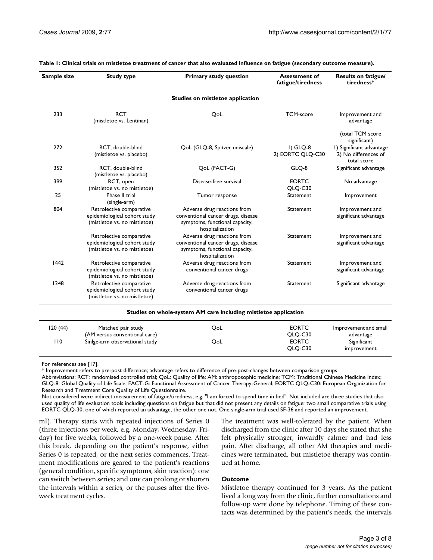| Sample size | <b>Study type</b>                                                                        | <b>Primary study question</b>                                                                                          | <b>Assessment of</b><br>fatigue/tiredness | <b>Results on fatigue/</b><br>tiredness*                        |
|-------------|------------------------------------------------------------------------------------------|------------------------------------------------------------------------------------------------------------------------|-------------------------------------------|-----------------------------------------------------------------|
|             |                                                                                          | Studies on mistletoe application                                                                                       |                                           |                                                                 |
| 233         | <b>RCT</b><br>(mistletoe vs. Lentinan)                                                   | QoL                                                                                                                    | <b>TCM-score</b>                          | Improvement and<br>advantage                                    |
|             |                                                                                          |                                                                                                                        |                                           | (total TCM score<br>significant)                                |
| 272         | RCT, double-blind<br>(mistletoe vs. placebo)                                             | QoL (GLQ-8, Spitzer uniscale)                                                                                          | $I) GLQ-8$<br>2) EORTC QLQ-C30            | I) Significant advantage<br>2) No differences of<br>total score |
| 352         | RCT, double-blind<br>(mistletoe vs. placebo)                                             | QoL (FACT-G)                                                                                                           | GLQ-8                                     | Significant advantage                                           |
| 399         | RCT, open<br>(mistletoe vs. no mistletoe)                                                | Disease-free survival                                                                                                  | <b>EORTC</b><br>QLQ-C30                   | No advantage                                                    |
| 25          | Phase II trial<br>(single-arm)                                                           | Tumor response                                                                                                         | Statement                                 | Improvement                                                     |
| 804         | Retrolective comparative<br>epidemiological cohort study<br>(mistletoe vs. no mistletoe) | Adverse drug reactions from<br>conventional cancer drugs, disease<br>symptoms, functional capacity,<br>hospitalization | Statement                                 | Improvement and<br>significant advantage                        |
|             | Retrolective comparative<br>epidemiological cohort study<br>(mistletoe vs. no mistletoe) | Adverse drug reactions from<br>conventional cancer drugs, disease<br>symptoms, functional capacity,<br>hospitalization | Statement                                 | Improvement and<br>significant advantage                        |
| 1442        | Retrolective comparative<br>epidemiological cohort study<br>(mistletoe vs. no mistletoe) | Adverse drug reactions from<br>conventional cancer drugs                                                               | Statement                                 | Improvement and<br>significant advantage                        |
| 1248        | Retrolective comparative<br>epidemiological cohort study<br>(mistletoe vs. no mistletoe) | Adverse drug reactions from<br>conventional cancer drugs                                                               | Statement                                 | Significant advantage                                           |
|             |                                                                                          | Studies on whole-system AM care including mistletoe application                                                        |                                           |                                                                 |
| 120(44)     | Matched pair study<br>(AM versus conventional care)                                      | QoL                                                                                                                    | <b>EORTC</b><br>QLQ-C30                   | Improvement and small<br>advantage                              |
| 110         | Sinlge-arm observational study                                                           | OoL                                                                                                                    | <b>EORTC</b><br>QLQ-C30                   | Significant<br>improvement                                      |

**Table 1: Clinical trials on mistletoe treatment of cancer that also evaluated influence on fatigue (secondary outcome measure).**

For references see [17].

\* Improvement refers to pre-post difference; advantage refers to difference of pre-post-changes between comparison groups

Abbreviations: RCT: randomised controlled trial; QoL: Quality of life; AM: anthroposophic medicine; TCM: Traditional Chinese Medicine Index; GLQ-8: Global Quality of Life Scale; FACT-G: Functional Assessment of Cancer Therapy-General; EORTC QLQ-C30: European Organization for Research and Treatment Core Quality of Life Questionnaire.

Not considered were indirect measurement of fatigue/tiredness, e.g. "I am forced to spend time in bed". Not included are three studies that also used quality of life evaluation tools including questions on fatigue but that did not present any details on fatigue: two small comparative trials using EORTC QLQ-30, one of which reported an advantage, the other one not. One single-arm trial used SF-36 and reported an improvement.

ml). Therapy starts with repeated injections of Series 0 (three injections per week, e.g. Monday, Wednesday, Friday) for five weeks, followed by a one-week pause. After this break, depending on the patient's response, either Series 0 is repeated, or the next series commences. Treatment modifications are geared to the patient's reactions (general condition, specific symptoms, skin reaction): one can switch between series; and one can prolong or shorten the intervals within a series, or the pauses after the fiveweek treatment cycles.

The treatment was well-tolerated by the patient. When discharged from the clinic after 10 days she stated that she felt physically stronger, inwardly calmer and had less pain. After discharge, all other AM therapies and medicines were terminated, but mistletoe therapy was continued at home.

## *Outcome*

Mistletoe therapy continued for 3 years. As the patient lived a long way from the clinic, further consultations and follow-up were done by telephone. Timing of these contacts was determined by the patient's needs, the intervals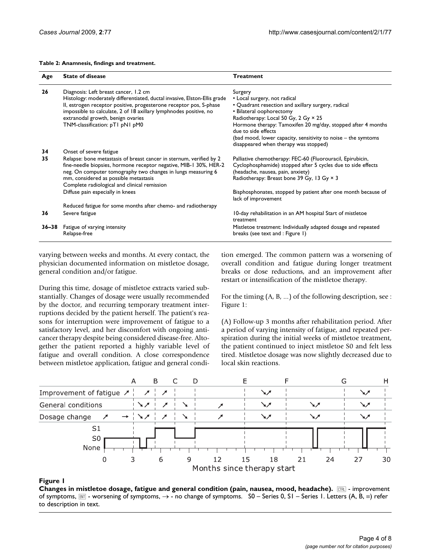#### **Table 2: Anamnesis, findings and treatment.**

| Age       | <b>State of disease</b>                                                                                                                                                                                  | <b>Treatment</b>                                                                                                                                                |
|-----------|----------------------------------------------------------------------------------------------------------------------------------------------------------------------------------------------------------|-----------------------------------------------------------------------------------------------------------------------------------------------------------------|
| 26        | Diagnosis: Left breast cancer, 1.2 cm                                                                                                                                                                    | Surgery                                                                                                                                                         |
|           | Histology: moderately differentiated, ductal invasive, Elston-Ellis grade                                                                                                                                | • Local surgery, not radical                                                                                                                                    |
|           | II, estrogen receptor positive, progesterone receptor pos, S-phase                                                                                                                                       | • Quadrant resection and axillary surgery, radical                                                                                                              |
|           | impossible to calculate, 2 of 18 axillary lymphnodes positive, no                                                                                                                                        | • Bilateral oophorectomy                                                                                                                                        |
|           | extranodal growth, benign ovaries                                                                                                                                                                        | Radiotherapy: Local 50 Gy, 2 Gy × 25                                                                                                                            |
|           | TNM-classification: pTI pNI pM0                                                                                                                                                                          | Hormone therapy: Tamoxifen 20 mg/day, stopped after 4 months<br>due to side effects                                                                             |
|           |                                                                                                                                                                                                          | (bad mood, lower capacity, sensitivity to noise $-$ the symtoms<br>disappeared when therapy was stopped)                                                        |
| 34        | Onset of severe fatigue                                                                                                                                                                                  |                                                                                                                                                                 |
| 35        | Relapse: bone metastasis of breast cancer in sternum, verified by 2<br>fine-needle biopsies, hormone receptor negative, MIB-1 30%, HER-2<br>neg. On computer tomography two changes in lungs measuring 6 | Palliative chemotherapy: FEC-60 (Fluorouracil, Epirubicin,<br>Cyclophosphamide) stopped after 5 cycles due to side effects<br>(headache, nausea, pain, anxiety) |
|           | mm, considered as possible metastasis<br>Complete radiological and clinical remission                                                                                                                    | Radiotherapy: Breast bone 39 Gy, 13 Gy × 3                                                                                                                      |
|           | Diffuse pain especially in knees                                                                                                                                                                         | Bisphosphonates, stopped by patient after one month because of<br>lack of improvement                                                                           |
|           | Reduced fatigue for some months after chemo- and radiotherapy                                                                                                                                            |                                                                                                                                                                 |
| 36        | Severe fatigue                                                                                                                                                                                           | 10-day rehabilitation in an AM hospital Start of mistletoe<br>treatment                                                                                         |
| $36 - 38$ | Fatigue of varying intensity                                                                                                                                                                             | Mistletoe treatment: Individually adapted dosage and repeated                                                                                                   |
|           | Relapse-free                                                                                                                                                                                             | breaks (see text and : Figure 1)                                                                                                                                |

varying between weeks and months. At every contact, the physician documented information on mistletoe dosage, general condition and/or fatigue.

During this time, dosage of mistletoe extracts varied substantially. Changes of dosage were usually recommended by the doctor, and recurring temporary treatment interruptions decided by the patient herself. The patient's reasons for interruption were improvement of fatigue to a satisfactory level, and her discomfort with ongoing anticancer therapy despite being considered disease-free. Altogether the patient reported a highly variable level of fatigue and overall condition. A close correspondence between mistletoe application, fatigue and general condition emerged. The common pattern was a worsening of overall condition and fatigue during longer treatment breaks or dose reductions, and an improvement after restart or intensification of the mistletoe therapy.

For the timing  $(A, B, ...)$  of the following description, see : Figure 1:

(A) Follow-up 3 months after rehabilitation period. After a period of varying intensity of fatigue, and repeated perspiration during the initial weeks of mistletoe treatment, the patient continued to inject mistletoe S0 and felt less tired. Mistletoe dosage was now slightly decreased due to local skin reactions.



## Changes in mistletoe dosage, fatigue and gene **Figure 1** ral condition (pain, nausea, mood, headache)

Changes in mistletoe dosage, fatigue and general condition (pain, nausea, mood, headache). **THE** - improvement of symptoms,  $\boxed{\text{mi}}$  - worsening of symptoms,  $\rightarrow$  - no change of symptoms. S0 – Series 0, S1 – Series 1. Letters (A, B,  $\equiv$ ) refer to description in text.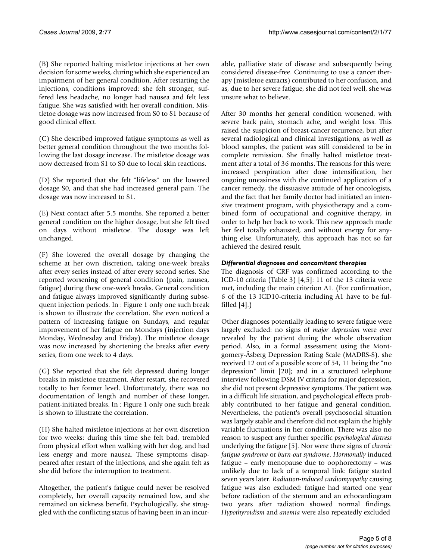(B) She reported halting mistletoe injections at her own decision for some weeks, during which she experienced an impairment of her general condition. After restarting the injections, conditions improved: she felt stronger, suffered less headache, no longer had nausea and felt less fatigue. She was satisfied with her overall condition. Mistletoe dosage was now increased from S0 to S1 because of good clinical effect.

(C) She described improved fatigue symptoms as well as better general condition throughout the two months following the last dosage increase. The mistletoe dosage was now decreased from S1 to S0 due to local skin reactions.

(D) She reported that she felt "lifeless" on the lowered dosage S0, and that she had increased general pain. The dosage was now increased to S1.

(E) Next contact after 5.5 months. She reported a better general condition on the higher dosage, but she felt tired on days without mistletoe. The dosage was left unchanged.

(F) She lowered the overall dosage by changing the scheme at her own discretion, taking one-week breaks after every series instead of after every second series. She reported worsening of general condition (pain, nausea, fatigue) during these one-week breaks. General condition and fatigue always improved significantly during subsequent injection periods. In : Figure 1 only one such break is shown to illustrate the correlation. She even noticed a pattern of increasing fatigue on Sundays, and regular improvement of her fatigue on Mondays (injection days Monday, Wednesday and Friday). The mistletoe dosage was now increased by shortening the breaks after every series, from one week to 4 days.

(G) She reported that she felt depressed during longer breaks in mistletoe treatment. After restart, she recovered totally to her former level. Unfortunately, there was no documentation of length and number of these longer, patient-initiated breaks. In : Figure 1 only one such break is shown to illustrate the correlation.

(H) She halted mistletoe injections at her own discretion for two weeks: during this time she felt bad, trembled from physical effort when walking with her dog, and had less energy and more nausea. These symptoms disappeared after restart of the injections, and she again felt as she did before the interruption to treatment.

Altogether, the patient's fatigue could never be resolved completely, her overall capacity remained low, and she remained on sickness benefit. Psychologically, she struggled with the conflicting status of having been in an incurable, palliative state of disease and subsequently being considered disease-free. Continuing to use a cancer therapy (mistletoe extracts) contributed to her confusion, and as, due to her severe fatigue, she did not feel well, she was unsure what to believe.

After 30 months her general condition worsened, with severe back pain, stomach ache, and weight loss. This raised the suspicion of breast-cancer recurrence, but after several radiological and clinical investigations, as well as blood samples, the patient was still considered to be in complete remission. She finally halted mistletoe treatment after a total of 36 months. The reasons for this were: increased perspiration after dose intensification, her ongoing uneasiness with the continued application of a cancer remedy, the dissuasive attitude of her oncologists, and the fact that her family doctor had initiated an intensive treatment program, with physiotherapy and a combined form of occupational and cognitive therapy, in order to help her back to work. This new approach made her feel totally exhausted, and without energy for anything else. Unfortunately, this approach has not so far achieved the desired result.

## *Differential diagnoses and concomitant therapies*

The diagnosis of CRF was confirmed according to the ICD-10 criteria (Table 3) [4,5]: 11 of the 13 criteria were met, including the main criterion A1. (For confirmation, 6 of the 13 ICD10-criteria including A1 have to be fulfilled  $[4]$ .)

Other diagnoses potentially leading to severe fatigue were largely excluded: no signs of *major depression* were ever revealed by the patient during the whole observation period. Also, in a formal assessment using the Montgomery-Åsberg Depression Rating Scale (MADRS-S), she received 12 out of a possible score of 54, 11 being the "no depression" limit [20]; and in a structured telephone interview following DSM IV criteria for major depression, she did not present depressive symptoms. The patient was in a difficult life situation, and psychological effects probably contributed to her fatigue and general condition. Nevertheless, the patient's overall psychosocial situation was largely stable and therefore did not explain the highly variable fluctuations in her condition. There was also no reason to suspect any further specific *psychological distress* underlying the fatigue [5]. Nor were there signs of *chronic fatigue syndrome* or *burn-out syndrome*. *Hormonally* induced fatigue – early menopause due to oophorectomy – was unlikely due to lack of a temporal link: fatigue started seven years later. *Radiation-induced cardiomyopathy* causing fatigue was also excluded: fatigue had started one year before radiation of the sternum and an echocardiogram two years after radiation showed normal findings. *Hypothyroidism* and *anemia* were also repeatedly excluded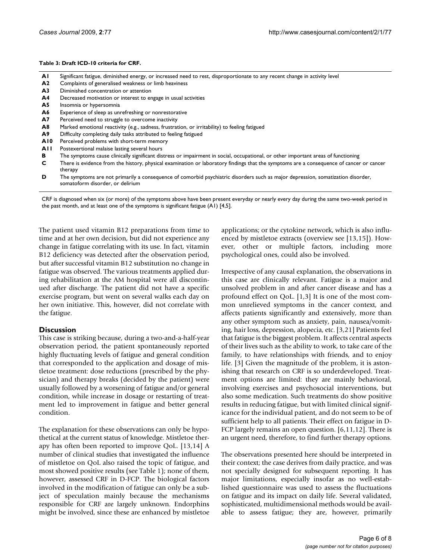#### **Table 3: Draft ICD-10 criteria for CRF.**

- **A1** Significant fatigue, diminished energy, or increased need to rest, disproportionate to any recent change in activity level
- **A2** Complaints of generalised weakness or limb heaviness
- **A3** Diminished concentration or attention
- **A4** Decreased motivation or interest to engage in usual activities
- **A5** Insomnia or hypersomnia
- **A6** Experience of sleep as unrefreshing or nonrestorative
- **A7** Perceived need to struggle to overcome inactivity
- A8 Marked emotional reactivity (e.g., sadness, frustration, or irritability) to feeling fatigued
- **A9** Difficulty completing daily tasks attributed to feeling fatigued
- **A10** Perceived problems with short-term memory
- **A11** Postexertional malaise lasting several hours
- **B** The symptoms cause clinically significant distress or impairment in social, occupational, or other important areas of functioning
- **C** There is evidence from the history, physical examination or laboratory findings that the symptoms are a consequence of cancer or cancer therapy
- **D** The symptoms are not primarily a consequence of comorbid psychiatric disorders such as major depression, somatization disorder, somatoform disorder, or delirium

CRF is diagnosed when six (or more) of the symptoms above have been present everyday or nearly every day during the same two-week period in the past month, and at least one of the symptoms is significant fatigue (A1) [4,5].

The patient used vitamin B12 preparations from time to time and at her own decision, but did not experience any change in fatigue correlating with its use. In fact, vitamin B12 deficiency was detected after the observation period, but after successful vitamin B12 substitution no change in fatigue was observed. The various treatments applied during rehabilitation at the AM hospital were all discontinued after discharge. The patient did not have a specific exercise program, but went on several walks each day on her own initiative. This, however, did not correlate with the fatigue.

## **Discussion**

This case is striking because, during a two-and-a-half-year observation period, the patient spontaneously reported highly fluctuating levels of fatigue and general condition that corresponded to the application and dosage of mistletoe treatment: dose reductions (prescribed by the physician) and therapy breaks (decided by the patient) were usually followed by a worsening of fatigue and/or general condition, while increase in dosage or restarting of treatment led to improvement in fatigue and better general condition.

The explanation for these observations can only be hypothetical at the current status of knowledge. Mistletoe therapy has often been reported to improve QoL. [13,14] A number of clinical studies that investigated the influence of mistletoe on QoL also raised the topic of fatigue, and most showed positive results (see Table 1); none of them, however, assessed CRF in D-FCP. The biological factors involved in the modification of fatigue can only be a subject of speculation mainly because the mechanisms responsible for CRF are largely unknown. Endorphins might be involved, since these are enhanced by mistletoe applications; or the cytokine network, which is also influenced by mistletoe extracts (overview see [13,15]). However, other or multiple factors, including more psychological ones, could also be involved.

Irrespective of any causal explanation, the observations in this case are clinically relevant. Fatigue is a major and unsolved problem in and after cancer disease and has a profound effect on QoL. [1,3] It is one of the most common unrelieved symptoms in the cancer context, and affects patients significantly and extensively, more than any other symptom such as anxiety, pain, nausea/vomiting, hair loss, depression, alopecia, etc. [3,21] Patients feel that fatigue is the biggest problem. It affects central aspects of their lives such as the ability to work, to take care of the family, to have relationships with friends, and to enjoy life. [3] Given the magnitude of the problem, it is astonishing that research on CRF is so underdeveloped. Treatment options are limited: they are mainly behavioral, involving exercises and psychosocial interventions, but also some medication. Such treatments do show positive results in reducing fatigue, but with limited clinical significance for the individual patient, and do not seem to be of sufficient help to all patients. Their effect on fatigue in D-FCP largely remains an open question. [6,11,12]. There is an urgent need, therefore, to find further therapy options.

The observations presented here should be interpreted in their context; the case derives from daily practice, and was not specially designed for subsequent reporting. It has major limitations, especially insofar as no well-established questionnaire was used to assess the fluctuations on fatigue and its impact on daily life. Several validated, sophisticated, multidimensional methods would be available to assess fatigue; they are, however, primarily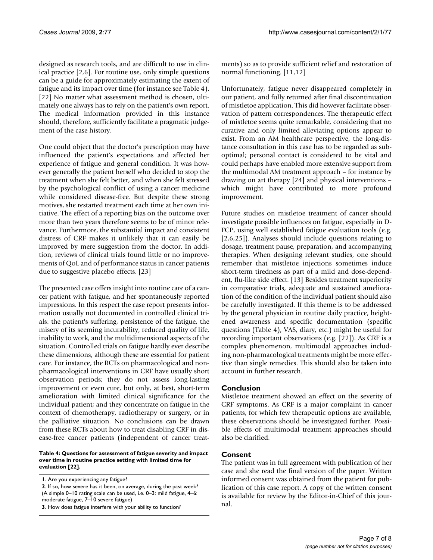designed as research tools, and are difficult to use in clinical practice [2,6]. For routine use, only simple questions can be a guide for approximately estimating the extent of fatigue and its impact over time (for instance see Table 4). [22] No matter what assessment method is chosen, ultimately one always has to rely on the patient's own report. The medical information provided in this instance should, therefore, sufficiently facilitate a pragmatic judgement of the case history.

One could object that the doctor's prescription may have influenced the patient's expectations and affected her experience of fatigue and general condition. It was however generally the patient herself who decided to stop the treatment when she felt better, and when she felt stressed by the psychological conflict of using a cancer medicine while considered disease-free. But despite these strong motives, she restarted treatment each time at her own initiative. The effect of a reporting bias on the outcome over more than two years therefore seems to be of minor relevance. Furthermore, the substantial impact and consistent distress of CRF makes it unlikely that it can easily be improved by mere suggestion from the doctor. In addition, reviews of clinical trials found little or no improvements of QoL and of performance status in cancer patients due to suggestive placebo effects. [23]

The presented case offers insight into routine care of a cancer patient with fatigue, and her spontaneously reported impressions. In this respect the case report presents information usually not documented in controlled clinical trials: the patient's suffering, persistence of the fatigue, the misery of its seeming incurability, reduced quality of life, inability to work, and the multidimensional aspects of the situation. Controlled trials on fatigue hardly ever describe these dimensions, although these are essential for patient care. For instance, the RCTs on pharmacological and nonpharmacological interventions in CRF have usually short observation periods; they do not assess long-lasting improvement or even cure, but only, at best, short-term amelioration with limited clinical significance for the individual patient; and they concentrate on fatigue in the context of chemotherapy, radiotherapy or surgery, or in the palliative situation. No conclusions can be drawn from these RCTs about how to treat disabling CRF in disease-free cancer patients (independent of cancer treat-

**Table 4: Questions for assessment of fatigue severity and impact over time in routine practice setting with limited time for evaluation [22].**

**1**. Are you experiencing any fatigue?

**2**. If so, how severe has it been, on average, during the past week? (A simple 0–10 rating scale can be used, i.e. 0–3: mild fatigue, 4–6: moderate fatigue, 7–10 severe fatigue)

**3**. How does fatigue interfere with your ability to function?

ments) so as to provide sufficient relief and restoration of normal functioning. [11,12]

Unfortunately, fatigue never disappeared completely in our patient, and fully returned after final discontinuation of mistletoe application. This did however facilitate observation of pattern correspondences. The therapeutic effect of mistletoe seems quite remarkable, considering that no curative and only limited alleviating options appear to exist. From an AM healthcare perspective, the long-distance consultation in this case has to be regarded as suboptimal; personal contact is considered to be vital and could perhaps have enabled more extensive support from the multimodal AM treatment approach – for instance by drawing on art therapy [24] and physical interventions – which might have contributed to more profound improvement.

Future studies on mistletoe treatment of cancer should investigate possible influences on fatigue, especially in D-FCP, using well established fatigue evaluation tools (e.g. [2,6,25]). Analyses should include questions relating to dosage, treatment pause, preparation, and accompanying therapies. When designing relevant studies, one should remember that mistletoe injections sometimes induce short-term tiredness as part of a mild and dose-dependent, flu-like side effect. [13] Besides treatment superiority in comparative trials, adequate and sustained amelioration of the condition of the individual patient should also be carefully investigated. If this theme is to be addressed by the general physician in routine daily practice, heightened awareness and specific documentation (specific questions (Table 4), VAS, diary, etc.) might be useful for recording important observations (e.g. [22]). As CRF is a complex phenomenon, multimodal approaches including non-pharmacological treatments might be more effective than single remedies. This should also be taken into account in further research.

## **Conclusion**

Mistletoe treatment showed an effect on the severity of CRF symptoms. As CRF is a major complaint in cancer patients, for which few therapeutic options are available, these observations should be investigated further. Possible effects of multimodal treatment approaches should also be clarified.

## **Consent**

The patient was in full agreement with publication of her case and she read the final version of the paper. Written informed consent was obtained from the patient for publication of this case report. A copy of the written consent is available for review by the Editor-in-Chief of this journal.